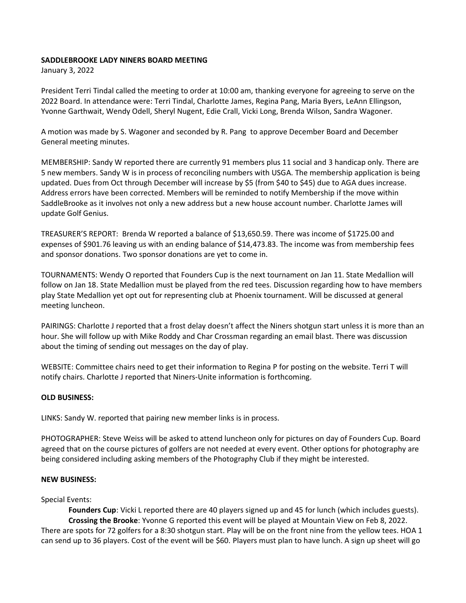## **SADDLEBROOKE LADY NINERS BOARD MEETING**

January 3, 2022

President Terri Tindal called the meeting to order at 10:00 am, thanking everyone for agreeing to serve on the 2022 Board. In attendance were: Terri Tindal, Charlotte James, Regina Pang, Maria Byers, LeAnn Ellingson, Yvonne Garthwait, Wendy Odell, Sheryl Nugent, Edie Crall, Vicki Long, Brenda Wilson, Sandra Wagoner.

A motion was made by S. Wagoner and seconded by R. Pang to approve December Board and December General meeting minutes.

MEMBERSHIP: Sandy W reported there are currently 91 members plus 11 social and 3 handicap only. There are 5 new members. Sandy W is in process of reconciling numbers with USGA. The membership application is being updated. Dues from Oct through December will increase by \$5 (from \$40 to \$45) due to AGA dues increase. Address errors have been corrected. Members will be reminded to notify Membership if the move within SaddleBrooke as it involves not only a new address but a new house account number. Charlotte James will update Golf Genius.

TREASURER'S REPORT: Brenda W reported a balance of \$13,650.59. There was income of \$1725.00 and expenses of \$901.76 leaving us with an ending balance of \$14,473.83. The income was from membership fees and sponsor donations. Two sponsor donations are yet to come in.

TOURNAMENTS: Wendy O reported that Founders Cup is the next tournament on Jan 11. State Medallion will follow on Jan 18. State Medallion must be played from the red tees. Discussion regarding how to have members play State Medallion yet opt out for representing club at Phoenix tournament. Will be discussed at general meeting luncheon.

PAIRINGS: Charlotte J reported that a frost delay doesn't affect the Niners shotgun start unless it is more than an hour. She will follow up with Mike Roddy and Char Crossman regarding an email blast. There was discussion about the timing of sending out messages on the day of play.

WEBSITE: Committee chairs need to get their information to Regina P for posting on the website. Terri T will notify chairs. Charlotte J reported that Niners-Unite information is forthcoming.

## **OLD BUSINESS:**

LINKS: Sandy W. reported that pairing new member links is in process.

PHOTOGRAPHER: Steve Weiss will be asked to attend luncheon only for pictures on day of Founders Cup. Board agreed that on the course pictures of golfers are not needed at every event. Other options for photography are being considered including asking members of the Photography Club if they might be interested.

## **NEW BUSINESS:**

## Special Events:

**Founders Cup**: Vicki L reported there are 40 players signed up and 45 for lunch (which includes guests). **Crossing the Brooke**: Yvonne G reported this event will be played at Mountain View on Feb 8, 2022. There are spots for 72 golfers for a 8:30 shotgun start. Play will be on the front nine from the yellow tees. HOA 1 can send up to 36 players. Cost of the event will be \$60. Players must plan to have lunch. A sign up sheet will go